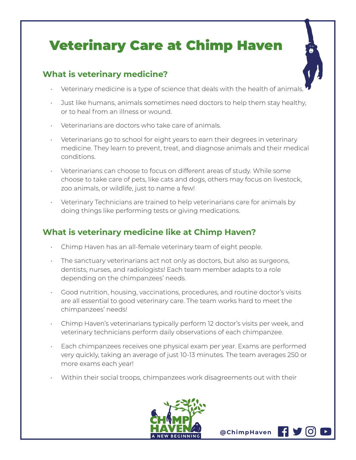## Veterinary Care at Chimp Haven

## **What is veterinary medicine?**

- Veterinary medicine is a type of science that deals with the health of animals
- Just like humans, animals sometimes need doctors to help them stay healthy, or to heal from an illness or wound.
- Veterinarians are doctors who take care of animals.
- Veterinarians go to school for eight years to earn their degrees in veterinary medicine. They learn to prevent, treat, and diagnose animals and their medical conditions.
- Veterinarians can choose to focus on different areas of study. While some choose to take care of pets, like cats and dogs, others may focus on livestock, zoo animals, or wildlife, just to name a few!
- Veterinary Technicians are trained to help veterinarians care for animals by doing things like performing tests or giving medications.

## **What is veterinary medicine like at Chimp Haven?**

- Chimp Haven has an all-female veterinary team of eight people.
- The sanctuary veterinarians act not only as doctors, but also as surgeons, dentists, nurses, and radiologists! Each team member adapts to a role depending on the chimpanzees' needs.
- Good nutrition, housing, vaccinations, procedures, and routine doctor's visits are all essential to good veterinary care. The team works hard to meet the chimpanzees' needs!
- Chimp Haven's veterinarians typically perform 12 doctor's visits per week, and veterinary technicians perform daily observations of each chimpanzee.
- Each chimpanzees receives one physical exam per year. Exams are performed very quickly, taking an average of just 10-13 minutes. The team averages 250 or more exams each year!
- Within their social troops, chimpanzees work disagreements out with their



**@ChimpHaven**

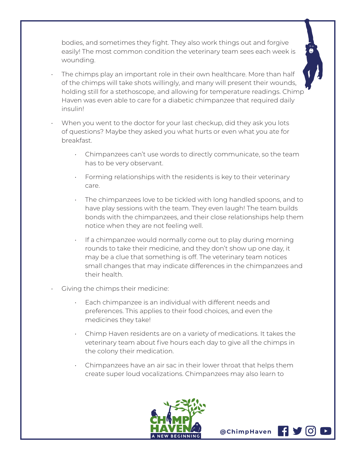bodies, and sometimes they fight. They also work things out and forgive easily! The most common condition the veterinary team sees each week is wounding.

- The chimps play an important role in their own healthcare. More than half of the chimps will take shots willingly, and many will present their wounds, holding still for a stethoscope, and allowing for temperature readings. Chimp Haven was even able to care for a diabetic chimpanzee that required daily insulin!
- When you went to the doctor for your last checkup, did they ask you lots of questions? Maybe they asked you what hurts or even what you ate for breakfast.
	- Chimpanzees can't use words to directly communicate, so the team has to be very observant.
	- Forming relationships with the residents is key to their veterinary care.
	- The chimpanzees love to be tickled with long handled spoons, and to have play sessions with the team. They even laugh! The team builds bonds with the chimpanzees, and their close relationships help them notice when they are not feeling well.
	- If a chimpanzee would normally come out to play during morning rounds to take their medicine, and they don't show up one day, it may be a clue that something is off. The veterinary team notices small changes that may indicate differences in the chimpanzees and their health.
	- Giving the chimps their medicine:
		- Each chimpanzee is an individual with different needs and preferences. This applies to their food choices, and even the medicines they take!
		- Chimp Haven residents are on a variety of medications. It takes the veterinary team about five hours each day to give all the chimps in the colony their medication.
		- Chimpanzees have an air sac in their lower throat that helps them create super loud vocalizations. Chimpanzees may also learn to



**@ChimpHaven**